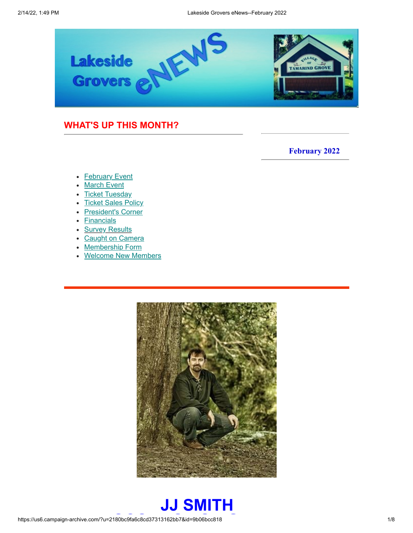

### <span id="page-0-1"></span>**WHAT'S UP THIS MONTH?**

**February 2022**

- [February](#page-0-0) Event
- [March Event](#page-2-0)
- [Ticket Tuesday](#page-3-0)
- [Ticket Sales Policy](#page-4-0)
- [President's Corner](#page-5-0)
- **[Financials](#page-6-0)**
- **[Survey Results](#page-6-0)**
- [Caught on Camera](#page-6-0)
- [Membership Form](#page-6-0)
- [Welcome New Members](#page-6-0)



<span id="page-0-0"></span>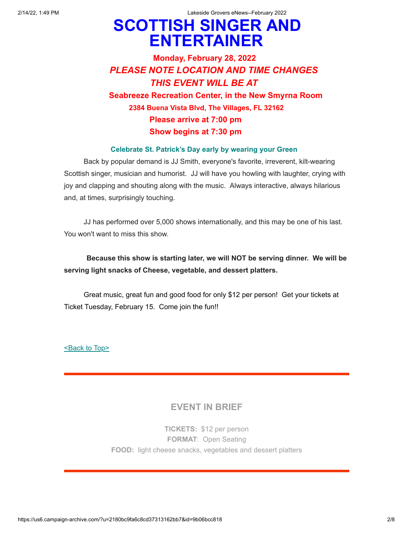2/14/22, 1:49 PM Lakeside Grovers eNews--February 2022

# **SCOTTISH SINGER AND ENTERTAINER**

# **Monday, February 28, 2022** *PLEASE NOTE LOCATION AND TIME CHANGES THIS EVENT WILL BE AT*  **Seabreeze Recreation Center, in the New Smyrna Room 2384 Buena Vista Blvd, The Villages, FL 32162 Please arrive at 7:00 pm Show begins at 7:30 pm**

### **Celebrate St. Patrick's Day early by wearing your Green**

 Back by popular demand is JJ Smith, everyone's favorite, irreverent, kilt-wearing Scottish singer, musician and humorist. JJ will have you howling with laughter, crying with joy and clapping and shouting along with the music. Always interactive, always hilarious and, at times, surprisingly touching.

 JJ has performed over 5,000 shows internationally, and this may be one of his last. You won't want to miss this show.

### **Because this show is starting later, we will NOT be serving dinner. We will be serving light snacks of Cheese, vegetable, and dessert platters.**

 Great music, great fun and good food for only \$12 per person! Get your tickets at Ticket Tuesday, February 15. Come join the fun!!

[<Back to Top>](#page-0-1)

### **EVENT IN BRIEF**

**TICKETS:** \$12 per person **FORMAT**: Open Seating **FOOD:** light cheese snacks, vegetables and dessert platters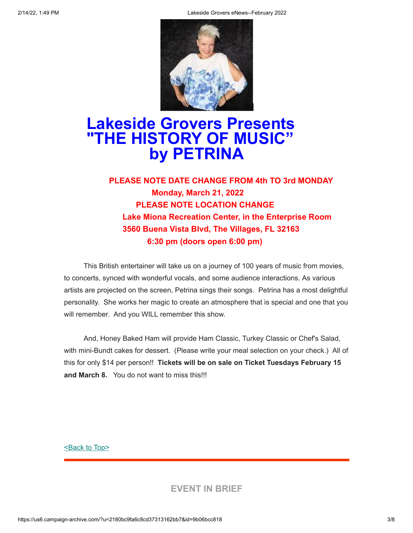

# <span id="page-2-0"></span>**Lakeside Grovers Presents "THE HISTORY OF MUSIC" by PETRINA**

## **PLEASE NOTE DATE CHANGE FROM 4th TO 3rd MONDAY Monday, March 21, 2022 PLEASE NOTE LOCATION CHANGE Lake Miona Recreation Center, in the Enterprise Room 3560 Buena Vista Blvd, The Villages, FL 32163 6:30 pm (doors open 6:00 pm)**

 This British entertainer will take us on a journey of 100 years of music from movies, to concerts, synced with wonderful vocals, and some audience interactions. As various artists are projected on the screen, Petrina sings their songs. Petrina has a most delightful personality. She works her magic to create an atmosphere that is special and one that you will remember. And you WILL remember this show.

 And, Honey Baked Ham will provide Ham Classic, Turkey Classic or Chef's Salad, with mini-Bundt cakes for dessert. (Please write your meal selection on your check.) All of this for only \$14 per person!! **Tickets will be on sale on Ticket Tuesdays February 15 and March 8.** You do not want to miss this!!!

[<Back to Top>](#page-0-1)

**EVENT IN BRIEF**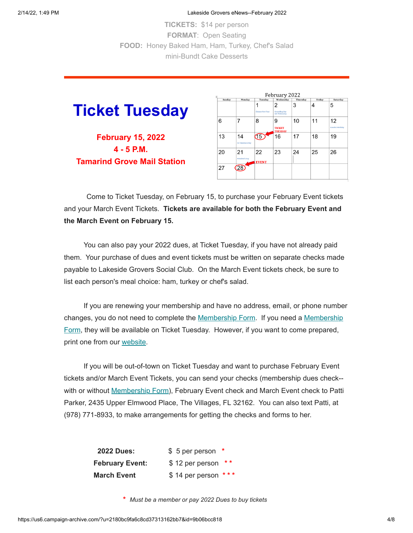2/14/22, 1:49 PM Lakeside Grovers eNews--February 2022

**TICKETS:** \$14 per person **FORMAT**: Open Seating **FOOD:** Honey Baked Ham, Ham, Turkey, Chef's Salad mini-Bundt Cake Desserts

<span id="page-3-0"></span>

**February 15, 2022 4 - 5 P.M. Tamarind Grove Mail Station**

| February 2022 |                           |                    |                                      |          |        |                          |
|---------------|---------------------------|--------------------|--------------------------------------|----------|--------|--------------------------|
| Sunday        | Monday                    | Tuesday            | Wednesday                            | Thursday | Friday | Saturday                 |
|               |                           | Chinese New Year   | 2<br>Groundhog Day<br>Ash Wednesday  | 3        | 4      | 5                        |
| 6             | 7                         | 8                  | 9<br><b>TICKET</b><br><b>TUESDAY</b> | 10       | 11     | 12<br>Lincoln's Birthday |
| 13            | 14<br>St. Valentine's Day | $\overline{15}$    | 16                                   | 17       | 18     | 19                       |
| 20            | 21<br>President's Day     | 22<br><b>EVENT</b> | 23                                   | 24       | 25     | 26                       |
| 27            | 28                        |                    |                                      |          |        |                          |

Come to Ticket Tuesday, on February 15, to purchase your February Event tickets and your March Event Tickets. **Tickets are available for both the February Event and the March Event on February 15.**

 You can also pay your 2022 dues, at Ticket Tuesday, if you have not already paid them. Your purchase of dues and event tickets must be written on separate checks made payable to Lakeside Grovers Social Club. On the March Event tickets check, be sure to list each person's meal choice: ham, turkey or chef's salad.

 If you are renewing your membership and have no address, email, or phone number [changes, you do not need to complete the Membership Form. If you need a Membership](https://www.lakesidegrovers.com/uploads/9/5/2/3/95239902/2022_membership_form_v2.pdf) Form, they will be available on Ticket Tuesday. However, if you want to come prepared, print one from our [website](https://www.lakesidegrovers.com/uploads/9/5/2/3/95239902/2022_membership_form_v2.pdf).

 If you will be out-of-town on Ticket Tuesday and want to purchase February Event tickets and/or March Event Tickets, you can send your checks (membership dues check-- with or without [Membership Form](https://www.lakesidegrovers.com/uploads/9/5/2/3/95239902/2022_membership_form_v2.pdf)), February Event check and March Event check to Patti Parker, 2435 Upper Elmwood Place, The Villages, FL 32162. You can also text Patti, at (978) 771-8933, to make arrangements for getting the checks and forms to her.

| <b>2022 Dues:</b>      | \$ 5 per person *      |
|------------------------|------------------------|
| <b>February Event:</b> | \$12 per person<br>* * |
| <b>March Event</b>     | $$14$ per person ***   |

**\*** *Must be a member or pay 2022 Dues to buy tickets*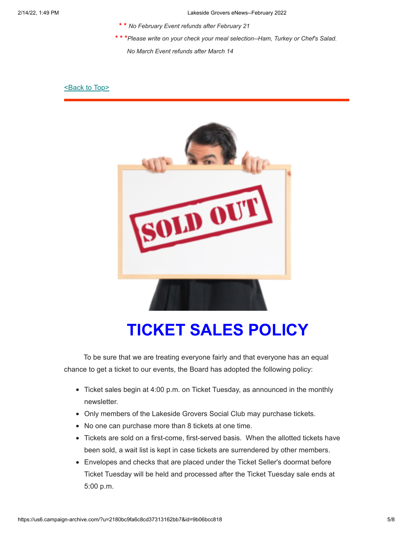- **\* \*** *No February Event refunds after February 21*
- **\* \* \****Please write on your check your meal selection--Ham, Turkey or Chef's Salad.*

*No March Event refunds after March 14*

#### [<Back to Top>](#page-0-1)



# <span id="page-4-0"></span>**TICKET SALES POLICY**

 To be sure that we are treating everyone fairly and that everyone has an equal chance to get a ticket to our events, the Board has adopted the following policy:

- Ticket sales begin at 4:00 p.m. on Ticket Tuesday, as announced in the monthly newsletter.
- Only members of the Lakeside Grovers Social Club may purchase tickets.
- No one can purchase more than 8 tickets at one time.
- Tickets are sold on a first-come, first-served basis. When the allotted tickets have been sold, a wait list is kept in case tickets are surrendered by other members.
- Envelopes and checks that are placed under the Ticket Seller's doormat before Ticket Tuesday will be held and processed after the Ticket Tuesday sale ends at 5:00 p.m.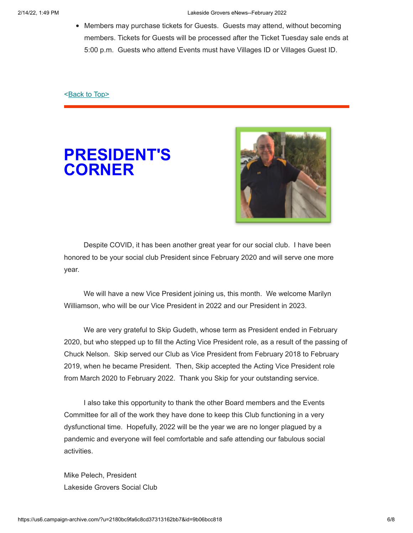• Members may purchase tickets for Guests. Guests may attend, without becoming members. Tickets for Guests will be processed after the Ticket Tuesday sale ends at 5:00 p.m. Guests who attend Events must have Villages ID or Villages Guest ID.

[<Back to Top>](#page-0-1)

<span id="page-5-0"></span>



 Despite COVID, it has been another great year for our social club. I have been honored to be your social club President since February 2020 and will serve one more year.

 We will have a new Vice President joining us, this month. We welcome Marilyn Williamson, who will be our Vice President in 2022 and our President in 2023.

 We are very grateful to Skip Gudeth, whose term as President ended in February 2020, but who stepped up to fill the Acting Vice President role, as a result of the passing of Chuck Nelson. Skip served our Club as Vice President from February 2018 to February 2019, when he became President. Then, Skip accepted the Acting Vice President role from March 2020 to February 2022. Thank you Skip for your outstanding service.

 I also take this opportunity to thank the other Board members and the Events Committee for all of the work they have done to keep this Club functioning in a very dysfunctional time. Hopefully, 2022 will be the year we are no longer plagued by a pandemic and everyone will feel comfortable and safe attending our fabulous social activities.

Mike Pelech, President Lakeside Grovers Social Club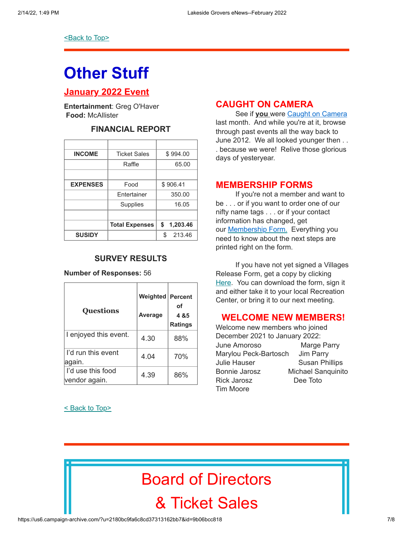**[<Back to Top>](#page-0-1)** 

# <span id="page-6-0"></span>**Other Stuff**

### **January 2022 Event**

**Entertainment**: Greg O'Haver **Food:** McAllister

# **FINANCIAL REPORT**

| <b>INCOME</b>   | <b>Ticket Sales</b>   | \$994.00       |  |
|-----------------|-----------------------|----------------|--|
|                 | Raffle                | 65.00          |  |
|                 |                       |                |  |
| <b>EXPENSES</b> | Food                  | \$906.41       |  |
|                 | <b>F</b> ntertainer   | 350.00         |  |
|                 | Supplies              | 16.05          |  |
|                 |                       |                |  |
|                 | <b>Total Expenses</b> | \$<br>1,203.46 |  |
| <b>SUSIDY</b>   |                       | 213.46<br>\$   |  |

#### **SURVEY RESULTS**

#### **Number of Responses:** 56

| <b>Questions</b>                   | Weighted<br>Average | <b>Percent</b><br>οf<br>4 & 5<br><b>Ratings</b> |
|------------------------------------|---------------------|-------------------------------------------------|
| I enjoyed this event.              | 4.30                | 88%                                             |
| I'd run this event<br>again.       | 4.04                | 70%                                             |
| I'd use this food<br>vendor again. | 4.39                | 86%                                             |

#### [< Back to Top>](#page-0-1)

### **CAUGHT ON CAMERA**

See if **you** were [Caught on Camera](https://www.lakesidegrovers.com/caught-on-camera.html) last month. And while you're at it, browse through past events all the way back to June 2012. We all looked younger then . . . because we were! Relive those glorious days of yesteryear.

### **MEMBERSHIP FORMS**

If you're not a member and want to be . . . or if you want to order one of our nifty name tags . . . or if your contact information has changed, get our **[Membership Form.](https://www.lakesidegrovers.com/uploads/9/5/2/3/95239902/2022_membership_form_v2.pdf)** Everything you need to know about the next steps are printed right on the form.

 If you have not yet signed a Villages Release Form, get a copy by clicking [Here](https://www.districtgov.org/images/activity-release.pdf). You can download the form, sign it and either take it to your local Recreation Center, or bring it to our next meeting.

#### **WELCOME NEW MEMBERS!**

Welcome new members who joined December 2021 to January 2022: June Amoroso Marge Parry Marylou Peck-Bartosch Jim Parry Julie Hauser **Susan Phillips** Bonnie Jarosz Michael Sanquinito Rick Jarosz Dee Toto Tim Moore

# Board of Directors